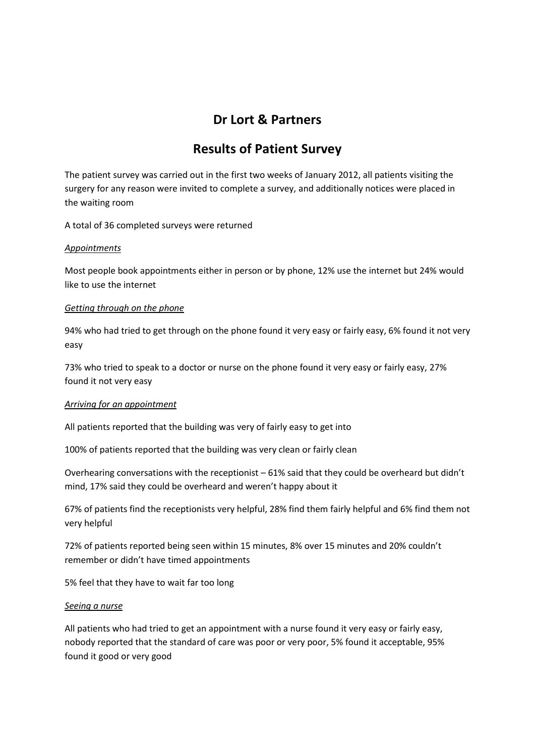# **Dr Lort & Partners**

# **Results of Patient Survey**

The patient survey was carried out in the first two weeks of January 2012, all patients visiting the surgery for any reason were invited to complete a survey, and additionally notices were placed in the waiting room

A total of 36 completed surveys were returned

#### *Appointments*

Most people book appointments either in person or by phone, 12% use the internet but 24% would like to use the internet

### *Getting through on the phone*

94% who had tried to get through on the phone found it very easy or fairly easy, 6% found it not very easy

73% who tried to speak to a doctor or nurse on the phone found it very easy or fairly easy, 27% found it not very easy

## *Arriving for an appointment*

All patients reported that the building was very of fairly easy to get into

100% of patients reported that the building was very clean or fairly clean

Overhearing conversations with the receptionist – 61% said that they could be overheard but didn't mind, 17% said they could be overheard and weren't happy about it

67% of patients find the receptionists very helpful, 28% find them fairly helpful and 6% find them not very helpful

72% of patients reported being seen within 15 minutes, 8% over 15 minutes and 20% couldn't remember or didn't have timed appointments

5% feel that they have to wait far too long

#### *Seeing a nurse*

All patients who had tried to get an appointment with a nurse found it very easy or fairly easy, nobody reported that the standard of care was poor or very poor, 5% found it acceptable, 95% found it good or very good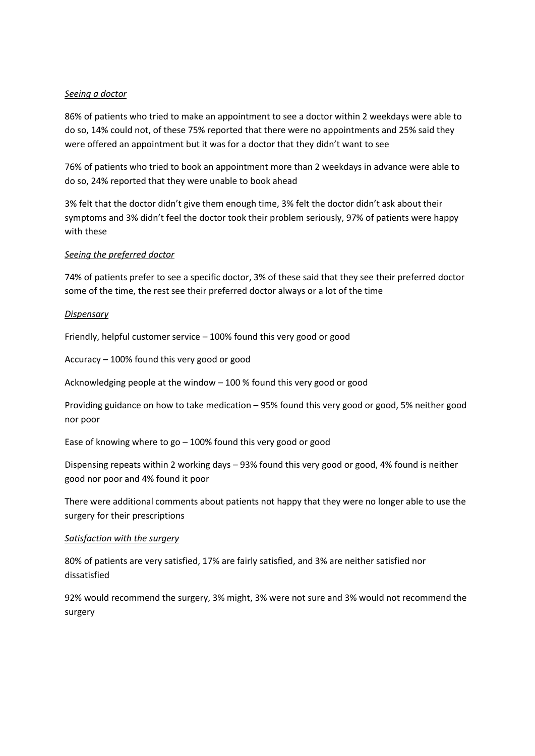#### *Seeing a doctor*

86% of patients who tried to make an appointment to see a doctor within 2 weekdays were able to do so, 14% could not, of these 75% reported that there were no appointments and 25% said they were offered an appointment but it was for a doctor that they didn't want to see

76% of patients who tried to book an appointment more than 2 weekdays in advance were able to do so, 24% reported that they were unable to book ahead

3% felt that the doctor didn't give them enough time, 3% felt the doctor didn't ask about their symptoms and 3% didn't feel the doctor took their problem seriously, 97% of patients were happy with these

#### *Seeing the preferred doctor*

74% of patients prefer to see a specific doctor, 3% of these said that they see their preferred doctor some of the time, the rest see their preferred doctor always or a lot of the time

#### *Dispensary*

Friendly, helpful customer service – 100% found this very good or good

Accuracy – 100% found this very good or good

Acknowledging people at the window – 100 % found this very good or good

Providing guidance on how to take medication – 95% found this very good or good, 5% neither good nor poor

Ease of knowing where to go – 100% found this very good or good

Dispensing repeats within 2 working days – 93% found this very good or good, 4% found is neither good nor poor and 4% found it poor

There were additional comments about patients not happy that they were no longer able to use the surgery for their prescriptions

#### *Satisfaction with the surgery*

80% of patients are very satisfied, 17% are fairly satisfied, and 3% are neither satisfied nor dissatisfied

92% would recommend the surgery, 3% might, 3% were not sure and 3% would not recommend the surgery